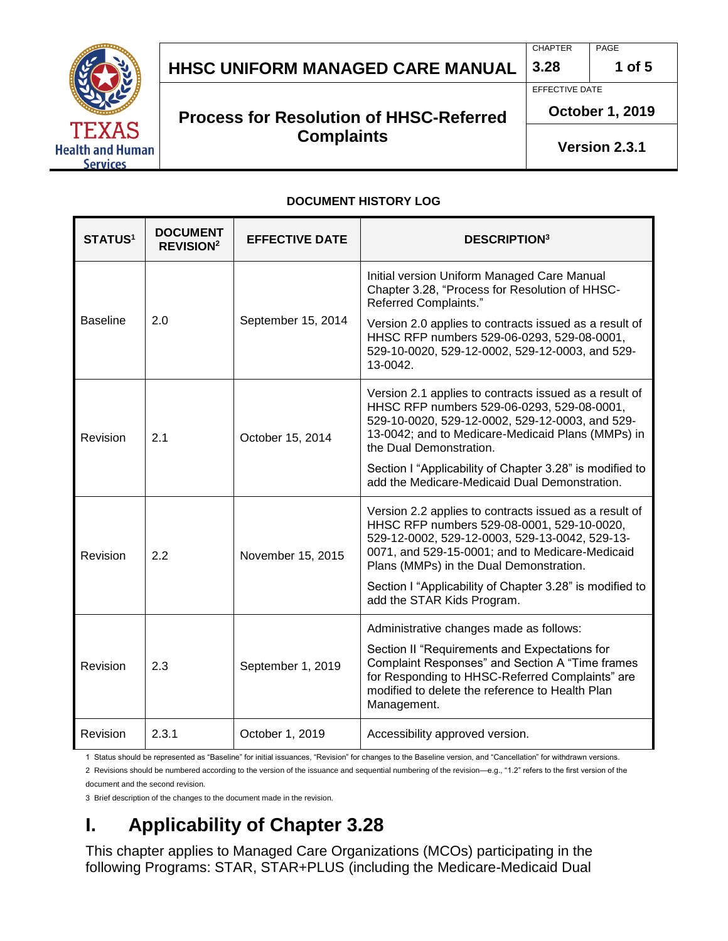

# **HHSC Uniform Managed Care MANUAL HHSC UNIFORM MANAGED CARE MANUAL 3.28 1 of 5**

#### **Process for Resolution of HHSC-Referred Complaints**

EFFECTIVE DATE

**October 1, 2019**

**Version 2.3.1**

#### **DOCUMENT HISTORY LOG**

| <b>STATUS1</b>  | <b>DOCUMENT</b><br><b>REVISION<sup>2</sup></b> | <b>EFFECTIVE DATE</b> | <b>DESCRIPTION3</b>                                                                                                                                                                                                                                  |
|-----------------|------------------------------------------------|-----------------------|------------------------------------------------------------------------------------------------------------------------------------------------------------------------------------------------------------------------------------------------------|
| <b>Baseline</b> | 2.0                                            | September 15, 2014    | Initial version Uniform Managed Care Manual<br>Chapter 3.28, "Process for Resolution of HHSC-<br>Referred Complaints."                                                                                                                               |
|                 |                                                |                       | Version 2.0 applies to contracts issued as a result of<br>HHSC RFP numbers 529-06-0293, 529-08-0001,<br>529-10-0020, 529-12-0002, 529-12-0003, and 529-<br>13-0042.                                                                                  |
| Revision        | 2.1                                            | October 15, 2014      | Version 2.1 applies to contracts issued as a result of<br>HHSC RFP numbers 529-06-0293, 529-08-0001,<br>529-10-0020, 529-12-0002, 529-12-0003, and 529-<br>13-0042; and to Medicare-Medicaid Plans (MMPs) in<br>the Dual Demonstration.              |
|                 |                                                |                       | Section I "Applicability of Chapter 3.28" is modified to<br>add the Medicare-Medicaid Dual Demonstration.                                                                                                                                            |
| Revision        | 2.2                                            | November 15, 2015     | Version 2.2 applies to contracts issued as a result of<br>HHSC RFP numbers 529-08-0001, 529-10-0020,<br>529-12-0002, 529-12-0003, 529-13-0042, 529-13-<br>0071, and 529-15-0001; and to Medicare-Medicaid<br>Plans (MMPs) in the Dual Demonstration. |
|                 |                                                |                       | Section I "Applicability of Chapter 3.28" is modified to<br>add the STAR Kids Program.                                                                                                                                                               |
| Revision        | 2.3                                            | September 1, 2019     | Administrative changes made as follows:                                                                                                                                                                                                              |
|                 |                                                |                       | Section II "Requirements and Expectations for<br>Complaint Responses" and Section A "Time frames<br>for Responding to HHSC-Referred Complaints" are<br>modified to delete the reference to Health Plan<br>Management.                                |
| Revision        | 2.3.1                                          | October 1, 2019       | Accessibility approved version.                                                                                                                                                                                                                      |

1 Status should be represented as "Baseline" for initial issuances, "Revision" for changes to the Baseline version, and "Cancellation" for withdrawn versions.

2 Revisions should be numbered according to the version of the issuance and sequential numbering of the revision—e.g., "1.2" refers to the first version of the document and the second revision.

3 Brief description of the changes to the document made in the revision.

# **I. Applicability of Chapter 3.28**

This chapter applies to Managed Care Organizations (MCOs) participating in the following Programs: STAR, STAR+PLUS (including the Medicare-Medicaid Dual

CHAPTER PAGE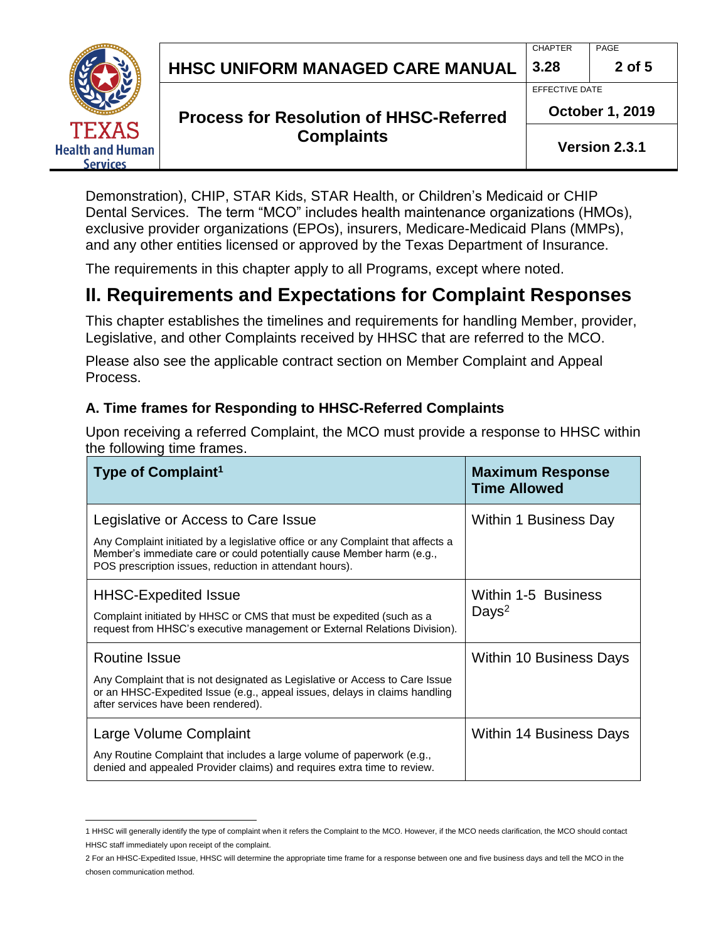**HHSC Uniform Managed Care MANUAL HHSC UNIFORM MANAGED CARE MANUAL 3.28 2 of 5**

# CHAPTER PAGE

EFFECTIVE DATE



### **Process for Resolution of HHSC-Referred Complaints**

**October 1, 2019**

**Version 2.3.1**

Demonstration), CHIP, STAR Kids, STAR Health, or Children's Medicaid or CHIP Dental Services. The term "MCO" includes health maintenance organizations (HMOs), exclusive provider organizations (EPOs), insurers, Medicare-Medicaid Plans (MMPs), and any other entities licensed or approved by the Texas Department of Insurance.

The requirements in this chapter apply to all Programs, except where noted.

# **II. Requirements and Expectations for Complaint Responses**

This chapter establishes the timelines and requirements for handling Member, provider, Legislative, and other Complaints received by HHSC that are referred to the MCO.

Please also see the applicable contract section on Member Complaint and Appeal Process.

#### **A. Time frames for Responding to HHSC-Referred Complaints**

Upon receiving a referred Complaint, the MCO must provide a response to HHSC within the following time frames.

| Type of Complaint <sup>1</sup>                                                                                                                                                                                                                             | <b>Maximum Response</b><br><b>Time Allowed</b> |
|------------------------------------------------------------------------------------------------------------------------------------------------------------------------------------------------------------------------------------------------------------|------------------------------------------------|
| Legislative or Access to Care Issue<br>Any Complaint initiated by a legislative office or any Complaint that affects a<br>Member's immediate care or could potentially cause Member harm (e.g.,<br>POS prescription issues, reduction in attendant hours). | Within 1 Business Day                          |
| <b>HHSC-Expedited Issue</b><br>Complaint initiated by HHSC or CMS that must be expedited (such as a<br>request from HHSC's executive management or External Relations Division).                                                                           | Within 1-5 Business<br>Days <sup>2</sup>       |
| <b>Routine Issue</b><br>Any Complaint that is not designated as Legislative or Access to Care Issue<br>or an HHSC-Expedited Issue (e.g., appeal issues, delays in claims handling<br>after services have been rendered).                                   | Within 10 Business Days                        |
| Large Volume Complaint<br>Any Routine Complaint that includes a large volume of paperwork (e.g.,<br>denied and appealed Provider claims) and requires extra time to review.                                                                                | <b>Within 14 Business Days</b>                 |

 $\overline{a}$ 1 HHSC will generally identify the type of complaint when it refers the Complaint to the MCO. However, if the MCO needs clarification, the MCO should contact HHSC staff immediately upon receipt of the complaint.

<sup>2</sup> For an HHSC-Expedited Issue, HHSC will determine the appropriate time frame for a response between one and five business days and tell the MCO in the chosen communication method.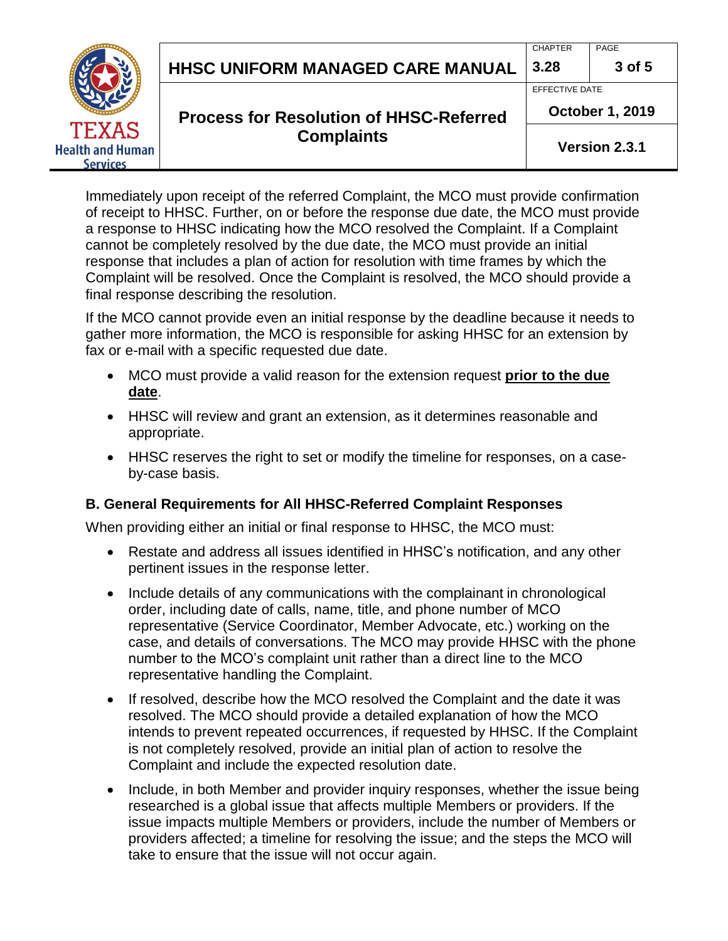**HHSC Uniform Managed Care MANUAL HHSC UNIFORM MANAGED CARE MANUAL 3.28 3 of 5**

# CHAPTER PAGE



#### **Process for Resolution of HHSC-Referred Complaints**

EFFECTIVE DATE

**October 1, 2019**

**Version 2.3.1**

Immediately upon receipt of the referred Complaint, the MCO must provide confirmation of receipt to HHSC. Further, on or before the response due date, the MCO must provide a response to HHSC indicating how the MCO resolved the Complaint. If a Complaint cannot be completely resolved by the due date, the MCO must provide an initial response that includes a plan of action for resolution with time frames by which the Complaint will be resolved. Once the Complaint is resolved, the MCO should provide a final response describing the resolution.

If the MCO cannot provide even an initial response by the deadline because it needs to gather more information, the MCO is responsible for asking HHSC for an extension by fax or e-mail with a specific requested due date.

- MCO must provide a valid reason for the extension request **prior to the due date**.
- HHSC will review and grant an extension, as it determines reasonable and appropriate.
- HHSC reserves the right to set or modify the timeline for responses, on a caseby-case basis.

#### **B. General Requirements for All HHSC-Referred Complaint Responses**

When providing either an initial or final response to HHSC, the MCO must:

- Restate and address all issues identified in HHSC's notification, and any other pertinent issues in the response letter.
- Include details of any communications with the complainant in chronological order, including date of calls, name, title, and phone number of MCO representative (Service Coordinator, Member Advocate, etc.) working on the case, and details of conversations. The MCO may provide HHSC with the phone number to the MCO's complaint unit rather than a direct line to the MCO representative handling the Complaint.
- If resolved, describe how the MCO resolved the Complaint and the date it was resolved. The MCO should provide a detailed explanation of how the MCO intends to prevent repeated occurrences, if requested by HHSC. If the Complaint is not completely resolved, provide an initial plan of action to resolve the Complaint and include the expected resolution date.
- Include, in both Member and provider inquiry responses, whether the issue being researched is a global issue that affects multiple Members or providers. If the issue impacts multiple Members or providers, include the number of Members or providers affected; a timeline for resolving the issue; and the steps the MCO will take to ensure that the issue will not occur again.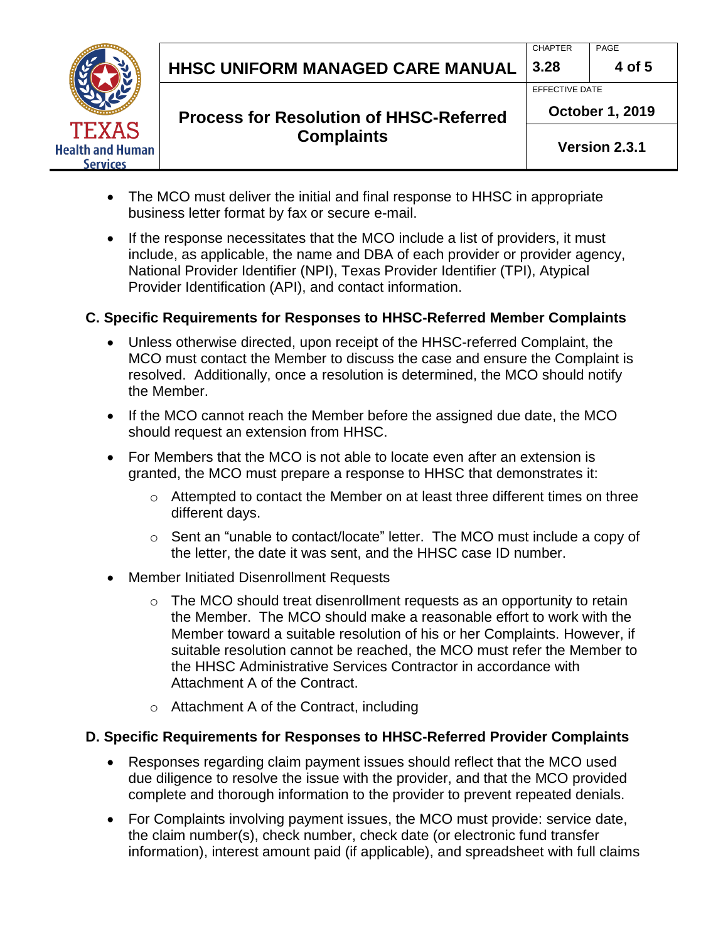**HHSC Uniform Managed Care MANUAL HHSC UNIFORM MANAGED CARE MANUAL 3.28 4 of 5**

# CHAPTER PAGE



### **Process for Resolution of HHSC-Referred Complaints**

EFFECTIVE DATE

**October 1, 2019**

**Version 2.3.1**

- The MCO must deliver the initial and final response to HHSC in appropriate business letter format by fax or secure e-mail.
- If the response necessitates that the MCO include a list of providers, it must include, as applicable, the name and DBA of each provider or provider agency, National Provider Identifier (NPI), Texas Provider Identifier (TPI), Atypical Provider Identification (API), and contact information.

#### **C. Specific Requirements for Responses to HHSC-Referred Member Complaints**

- Unless otherwise directed, upon receipt of the HHSC-referred Complaint, the MCO must contact the Member to discuss the case and ensure the Complaint is resolved. Additionally, once a resolution is determined, the MCO should notify the Member.
- If the MCO cannot reach the Member before the assigned due date, the MCO should request an extension from HHSC.
- For Members that the MCO is not able to locate even after an extension is granted, the MCO must prepare a response to HHSC that demonstrates it:
	- o Attempted to contact the Member on at least three different times on three different days.
	- o Sent an "unable to contact/locate" letter. The MCO must include a copy of the letter, the date it was sent, and the HHSC case ID number.
- Member Initiated Disenrollment Requests
	- o The MCO should treat disenrollment requests as an opportunity to retain the Member. The MCO should make a reasonable effort to work with the Member toward a suitable resolution of his or her Complaints. However, if suitable resolution cannot be reached, the MCO must refer the Member to the HHSC Administrative Services Contractor in accordance with Attachment A of the Contract.
	- o Attachment A of the Contract, including

#### **D. Specific Requirements for Responses to HHSC-Referred Provider Complaints**

- Responses regarding claim payment issues should reflect that the MCO used due diligence to resolve the issue with the provider, and that the MCO provided complete and thorough information to the provider to prevent repeated denials.
- For Complaints involving payment issues, the MCO must provide: service date, the claim number(s), check number, check date (or electronic fund transfer information), interest amount paid (if applicable), and spreadsheet with full claims